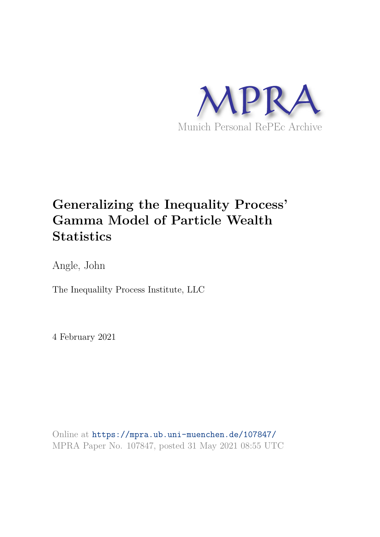

# **Generalizing the Inequality Process' Gamma Model of Particle Wealth Statistics**

Angle, John

The Inequalilty Process Institute, LLC

4 February 2021

Online at https://mpra.ub.uni-muenchen.de/107847/ MPRA Paper No. 107847, posted 31 May 2021 08:55 UTC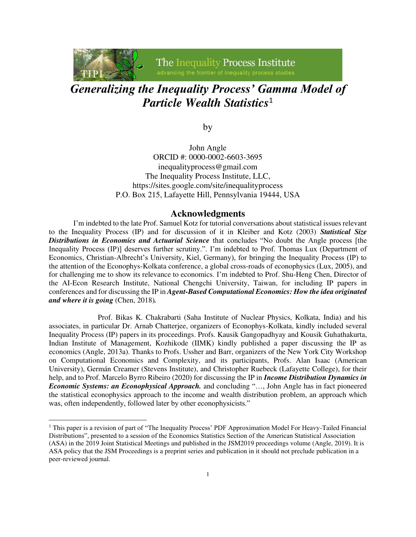The Inequality Process Institute

## *Generalizing the Inequality Process' Gamma Model of Particle Wealth Statistics*<sup>1</sup>

by

John Angle ORCID #: 0000-0002-6603-3695 inequalityprocess@gmail.com The Inequality Process Institute, LLC, https://sites.google.com/site/inequalityprocess P.O. Box 215, Lafayette Hill, Pennsylvania 19444, USA

### **Acknowledgments**

I'm indebted to the late Prof. Samuel Kotz for tutorial conversations about statistical issues relevant to the Inequality Process (IP) and for discussion of it in Kleiber and Kotz (2003) *Statistical Size Distributions in Economics and Actuarial Science* that concludes "No doubt the Angle process [the Inequality Process (IP)] deserves further scrutiny.". I'm indebted to Prof. Thomas Lux (Department of Economics, Christian-Albrecht's University, Kiel, Germany), for bringing the Inequality Process (IP) to the attention of the Econophys-Kolkata conference, a global cross-roads of econophysics (Lux, 2005), and for challenging me to show its relevance to economics. I'm indebted to Prof. Shu-Heng Chen, Director of the AI-Econ Research Institute, National Chengchi University, Taiwan, for including IP papers in conferences and for discussing the IP in *Agent-Based Computational Economics: How the idea originated and where it is going* (Chen, 2018)*.* 

 Prof. Bikas K. Chakrabarti (Saha Institute of Nuclear Physics, Kolkata, India) and his associates, in particular Dr. Arnab Chatterjee, organizers of Econophys-Kolkata, kindly included several Inequality Process (IP) papers in its proceedings. Profs. Kausik Gangopadhyay and Kousik Guhathakurta, Indian Institute of Management, Kozhikode (IIMK) kindly published a paper discussing the IP as economics (Angle, 2013a). Thanks to Profs. Ussher and Barr, organizers of the New York City Workshop on Computational Economics and Complexity, and its participants, Profs. Alan Isaac (American University), Germán Creamer (Stevens Institute), and Christopher Ruebeck (Lafayette College), for their help, and to Prof. Marcelo Byrro Ribeiro (2020) for discussing the IP in *Income Distribution Dynamics in Economic Systems: an Econophysical Approach.* and concluding "…, John Angle has in fact pioneered the statistical econophysics approach to the income and wealth distribution problem, an approach which was, often independently, followed later by other econophysicists."

<sup>&</sup>lt;sup>1</sup> This paper is a revision of part of "The Inequality Process' PDF Approximation Model For Heavy-Tailed Financial Distributions", presented to a session of the Economics Statistics Section of the American Statistical Association (ASA) in the 2019 Joint Statistical Meetings and published in the JSM2019 proceedings volume (Angle, 2019). It is ASA policy that the JSM Proceedings is a preprint series and publication in it should not preclude publication in a peer-reviewed journal.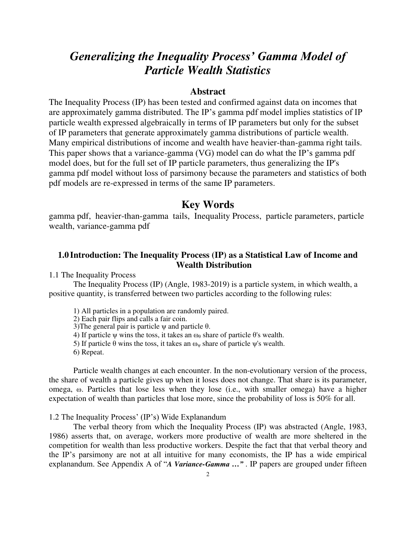## *Generalizing the Inequality Process' Gamma Model of Particle Wealth Statistics*

### **Abstract**

The Inequality Process (IP) has been tested and confirmed against data on incomes that are approximately gamma distributed. The IP's gamma pdf model implies statistics of IP particle wealth expressed algebraically in terms of IP parameters but only for the subset of IP parameters that generate approximately gamma distributions of particle wealth. Many empirical distributions of income and wealth have heavier-than-gamma right tails. This paper shows that a variance-gamma (VG) model can do what the IP's gamma pdf model does, but for the full set of IP particle parameters, thus generalizing the IP's gamma pdf model without loss of parsimony because the parameters and statistics of both pdf models are re-expressed in terms of the same IP parameters.

## **Key Words**

gamma pdf, heavier-than-gamma tails, Inequality Process, particle parameters, particle wealth, variance-gamma pdf

## **1.0 Introduction: The Inequality Process (IP) as a Statistical Law of Income and Wealth Distribution**

1.1 The Inequality Process

 The Inequality Process (IP) (Angle, 1983-2019) is a particle system, in which wealth, a positive quantity, is transferred between two particles according to the following rules:

- 1) All particles in a population are randomly paired.
- 2) Each pair flips and calls a fair coin.
- 3) The general pair is particle  $ψ$  and particle  $θ$ .
- 4) If particle  $\psi$  wins the toss, it takes an  $\omega_\theta$  share of particle  $\theta$ 's wealth.
- 5) If particle  $\theta$  wins the toss, it takes an ω<sub>ν</sub> share of particle ψ's wealth.
- 6) Repeat.

Particle wealth changes at each encounter. In the non-evolutionary version of the process, the share of wealth a particle gives up when it loses does not change. That share is its parameter, omega, ω. Particles that lose less when they lose (i.e., with smaller omega) have a higher expectation of wealth than particles that lose more, since the probability of loss is 50% for all.

1.2 The Inequality Process' (IP's) Wide Explanandum

The verbal theory from which the Inequality Process (IP) was abstracted (Angle, 1983, 1986) asserts that, on average, workers more productive of wealth are more sheltered in the competition for wealth than less productive workers. Despite the fact that that verbal theory and the IP's parsimony are not at all intuitive for many economists, the IP has a wide empirical explanandum. See Appendix A of "*A Variance-Gamma …"* . IP papers are grouped under fifteen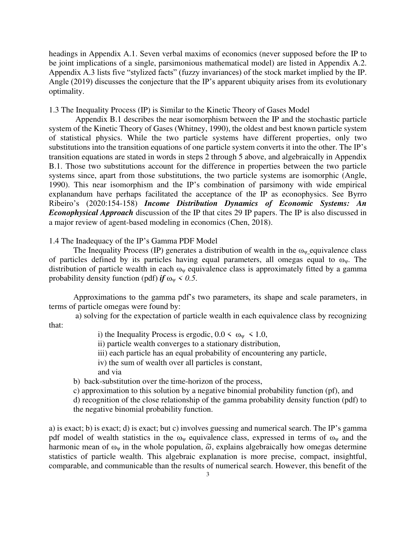headings in Appendix A.1. Seven verbal maxims of economics (never supposed before the IP to be joint implications of a single, parsimonious mathematical model) are listed in Appendix A.2. Appendix A.3 lists five "stylized facts" (fuzzy invariances) of the stock market implied by the IP. Angle (2019) discusses the conjecture that the IP's apparent ubiquity arises from its evolutionary optimality.

1.3 The Inequality Process (IP) is Similar to the Kinetic Theory of Gases Model

 Appendix B.1 describes the near isomorphism between the IP and the stochastic particle system of the Kinetic Theory of Gases (Whitney, 1990), the oldest and best known particle system of statistical physics. While the two particle systems have different properties, only two substitutions into the transition equations of one particle system converts it into the other. The IP's transition equations are stated in words in steps 2 through 5 above, and algebraically in Appendix B.1. Those two substitutions account for the difference in properties between the two particle systems since, apart from those substitutions, the two particle systems are isomorphic (Angle, 1990). This near isomorphism and the IP's combination of parsimony with wide empirical explanandum have perhaps facilitated the acceptance of the IP as econophysics. See Byrro Ribeiro's (2020:154-158) *Income Distribution Dynamics of Economic Systems: An Econophysical Approach* discussion of the IP that cites 29 IP papers. The IP is also discussed in a major review of agent-based modeling in economics (Chen, 2018).

1.4 The Inadequacy of the IP's Gamma PDF Model

The Inequality Process (IP) generates a distribution of wealth in the  $\omega_{\psi}$  equivalence class of particles defined by its particles having equal parameters, all omegas equal to  $\omega_{\psi}$ . The distribution of particle wealth in each  $\omega_{\psi}$  equivalence class is approximately fitted by a gamma probability density function (pdf) *if*  $\omega_{\psi}$  < 0.5.

Approximations to the gamma pdf's two parameters, its shape and scale parameters, in terms of particle omegas were found by:

 a) solving for the expectation of particle wealth in each equivalence class by recognizing that:

- i) the Inequality Process is ergodic,  $0.0 \le \omega_{\psi} \le 1.0$ ,
- ii) particle wealth converges to a stationary distribution,
- iii) each particle has an equal probability of encountering any particle,
- iv) the sum of wealth over all particles is constant,
- and via
- b) back-substitution over the time-horizon of the process,
- c) approximation to this solution by a negative binomial probability function (pf), and
- d) recognition of the close relationship of the gamma probability density function (pdf) to the negative binomial probability function.

a) is exact; b) is exact; d) is exact; but c) involves guessing and numerical search. The IP's gamma pdf model of wealth statistics in the  $\omega_{\psi}$  equivalence class, expressed in terms of  $\omega_{\psi}$  and the harmonic mean of  $\omega_{\nu}$  in the whole population,  $\tilde{\omega}$ , explains algebraically how omegas determine statistics of particle wealth. This algebraic explanation is more precise, compact, insightful, comparable, and communicable than the results of numerical search. However, this benefit of the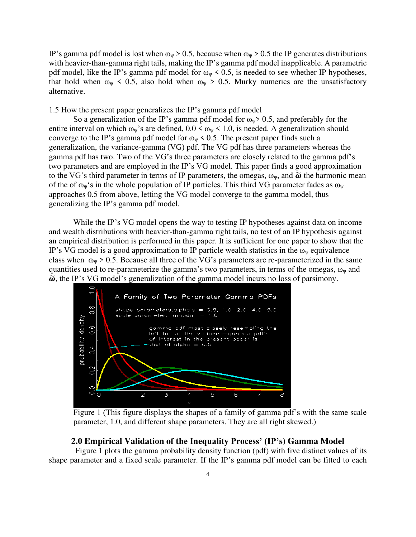IP's gamma pdf model is lost when  $\omega_y > 0.5$ , because when  $\omega_y > 0.5$  the IP generates distributions with heavier-than-gamma right tails, making the IP's gamma pdf model inapplicable. A parametric pdf model, like the IP's gamma pdf model for  $\omega_{\psi}$  < 0.5, is needed to see whether IP hypotheses, that hold when  $\omega_{\psi}$  < 0.5, also hold when  $\omega_{\psi}$  > 0.5. Murky numerics are the unsatisfactory alternative.

1.5 How the present paper generalizes the IP's gamma pdf model

So a generalization of the IP's gamma pdf model for  $\omega_y$  > 0.5, and preferably for the entire interval on which  $\omega_y$ 's are defined,  $0.0 \le \omega_y \le 1.0$ , is needed. A generalization should converge to the IP's gamma pdf model for  $\omega_{\psi}$  < 0.5. The present paper finds such a generalization, the variance-gamma (VG) pdf. The VG pdf has three parameters whereas the gamma pdf has two. Two of the VG's three parameters are closely related to the gamma pdf's two parameters and are employed in the IP's VG model. This paper finds a good approximation to the VG's third parameter in terms of IP parameters, the omegas,  $\omega_{\nu}$ , and  $\tilde{\omega}$  the harmonic mean of the of  $\omega_{\psi}$ 's in the whole population of IP particles. This third VG parameter fades as  $\omega_{\psi}$ approaches 0.5 from above, letting the VG model converge to the gamma model, thus generalizing the IP's gamma pdf model.

While the IP's VG model opens the way to testing IP hypotheses against data on income and wealth distributions with heavier-than-gamma right tails, no test of an IP hypothesis against an empirical distribution is performed in this paper. It is sufficient for one paper to show that the IP's VG model is a good approximation to IP particle wealth statistics in the  $\omega_{\psi}$  equivalence class when  $\omega_{\psi} > 0.5$ . Because all three of the VG's parameters are re-parameterized in the same quantities used to re-parameterize the gamma's two parameters, in terms of the omegas,  $\omega_{\psi}$  and  $\tilde{\omega}$ , the IP's VG model's generalization of the gamma model incurs no loss of parsimony.



Figure 1 (This figure displays the shapes of a family of gamma pdf's with the same scale parameter, 1.0, and different shape parameters. They are all right skewed.)

#### **2.0 Empirical Validation of the Inequality Process' (IP's) Gamma Model**

 Figure 1 plots the gamma probability density function (pdf) with five distinct values of its shape parameter and a fixed scale parameter. If the IP's gamma pdf model can be fitted to each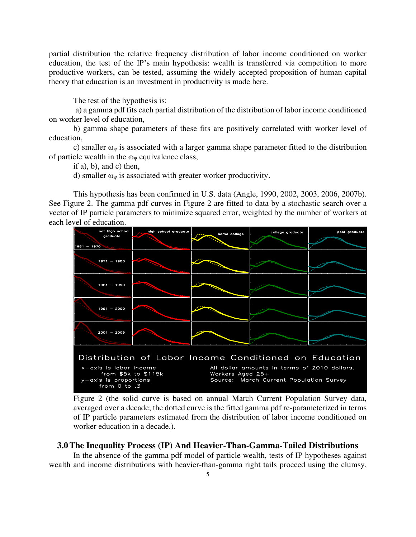partial distribution the relative frequency distribution of labor income conditioned on worker education, the test of the IP's main hypothesis: wealth is transferred via competition to more productive workers, can be tested, assuming the widely accepted proposition of human capital theory that education is an investment in productivity is made here.

The test of the hypothesis is:

 a) a gamma pdf fits each partial distribution of the distribution of labor income conditioned on worker level of education,

b) gamma shape parameters of these fits are positively correlated with worker level of education,

c) smaller  $\omega_{\psi}$  is associated with a larger gamma shape parameter fitted to the distribution of particle wealth in the  $\omega_{\psi}$  equivalence class,

if a), b), and c) then,

d) smaller  $\omega_{\psi}$  is associated with greater worker productivity.

This hypothesis has been confirmed in U.S. data (Angle, 1990, 2002, 2003, 2006, 2007b). See Figure 2. The gamma pdf curves in Figure 2 are fitted to data by a stochastic search over a vector of IP particle parameters to minimize squared error, weighted by the number of workers at each level of education.



Figure 2 (the solid curve is based on annual March Current Population Survey data, averaged over a decade; the dotted curve is the fitted gamma pdf re-parameterized in terms of IP particle parameters estimated from the distribution of labor income conditioned on worker education in a decade.).

#### **3.0The Inequality Process (IP) And Heavier-Than-Gamma-Tailed Distributions**

In the absence of the gamma pdf model of particle wealth, tests of IP hypotheses against wealth and income distributions with heavier-than-gamma right tails proceed using the clumsy,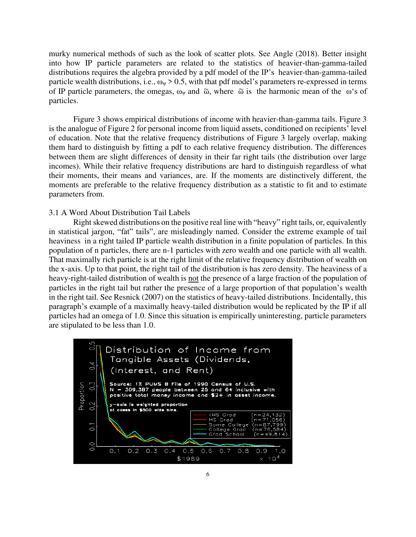murky numerical methods of such as the look of scatter plots. See Angle (2018). Better insight into how IP particle parameters are related to the statistics of heavier-than-gamma-tailed distributions requires the algebra provided by a pdf model of the IP's heavier-than-gamma-tailed particle wealth distributions, i.e.,  $\omega_{\psi} > 0.5$ , with that pdf model's parameters re-expressed in terms of IP particle parameters, the omegas,  $\omega_{\psi}$  and  $\tilde{\omega}$ , where  $\tilde{\omega}$  is the harmonic mean of the  $\omega$ 's of particles.

Figure 3 shows empirical distributions of income with heavier-than-gamma tails. Figure 3 is the analogue of Figure 2 for personal income from liquid assets, conditioned on recipients' level of education. Note that the relative frequency distributions of Figure 3 largely overlap, making them hard to distinguish by fitting a pdf to each relative frequency distribution. The differences between them are slight differences of density in their far right tails (the distribution over large incomes). While their relative frequency distributions are hard to distinguish regardless of what their moments, their means and variances, are. If the moments are distinctively different, the moments are preferable to the relative frequency distribution as a statistic to fit and to estimate parameters from.

#### 3.1 A Word About Distribution Tail Labels

 Right skewed distributions on the positive real line with "heavy" right tails, or, equivalently in statistical jargon, "fat" tails", are misleadingly named. Consider the extreme example of tail heaviness in a right tailed IP particle wealth distribution in a finite population of particles. In this population of n particles, there are n-1 particles with zero wealth and one particle with all wealth. That maximally rich particle is at the right limit of the relative frequency distribution of wealth on the x-axis. Up to that point, the right tail of the distribution is has zero density. The heaviness of a heavy-right-tailed distribution of wealth is not the presence of a large fraction of the population of particles in the right tail but rather the presence of a large proportion of that population's wealth in the right tail. See Resnick (2007) on the statistics of heavy-tailed distributions. Incidentally, this paragraph's example of a maximally heavy-tailed distribution would be replicated by the IP if all particles had an omega of 1.0. Since this situation is empirically uninteresting, particle parameters are stipulated to be less than 1.0.

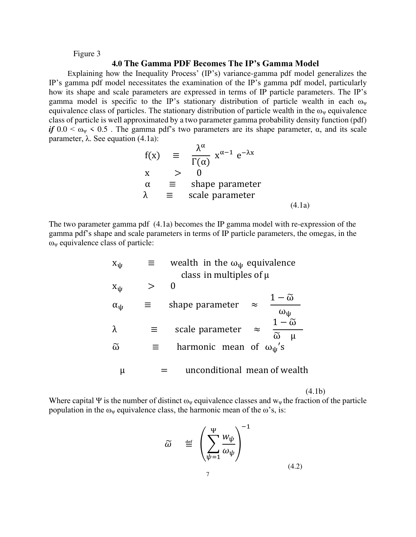#### Figure 3

#### **4.0 The Gamma PDF Becomes The IP's Gamma Model**

 Explaining how the Inequality Process' (IP's) variance-gamma pdf model generalizes the IP's gamma pdf model necessitates the examination of the IP's gamma pdf model, particularly how its shape and scale parameters are expressed in terms of IP particle parameters. The IP's gamma model is specific to the IP's stationary distribution of particle wealth in each  $\omega_{\psi}$ equivalence class of particles. The stationary distribution of particle wealth in the  $\omega_{\psi}$  equivalence class of particle is well approximated by a two parameter gamma probability density function (pdf) *if*  $0.0 < \omega_{\nu} < 0.5$ . The gamma pdf's two parameters are its shape parameter,  $\alpha$ , and its scale parameter, λ. See equation (4.1a):

$$
f(x) = \frac{\lambda^{\alpha}}{\Gamma(\alpha)} x^{\alpha - 1} e^{-\lambda x}
$$
  
\n
$$
x > 0
$$
  
\n
$$
\alpha = \text{shape parameter}
$$
  
\n
$$
\lambda = \text{scale parameter}
$$
  
\n(4.1a)

The two parameter gamma pdf (4.1a) becomes the IP gamma model with re-expression of the gamma pdf's shape and scale parameters in terms of IP particle parameters, the omegas, in the  $\omega_{\psi}$  equivalence class of particle:

| $X_{\psi}$           | wealth in the $\omega_{\psi}$ equivalence                                                              |
|----------------------|--------------------------------------------------------------------------------------------------------|
|                      | class in multiples of $\mu$                                                                            |
| $X_{\psi}$           | $\Omega$                                                                                               |
| $\alpha_{\Psi}$      | $1-\tilde{\omega}$<br>shape parameter<br>$\approx$                                                     |
| λ                    | $\omega_{\psi}$<br>$1-\widetilde{\omega}$<br>scale parameter<br>$\approx$<br>$\widetilde{\omega}$<br>μ |
| $\widetilde{\omega}$ | harmonic mean of $\omega_{\rm u}$ 's                                                                   |
| μ                    | unconditional mean of wealth                                                                           |

 $(4.1b)$ 

Where capital  $\Psi$  is the number of distinct  $\omega_{\psi}$  equivalence classes and  $w_{\psi}$  the fraction of the particle population in the  $\omega_{\psi}$  equivalence class, the harmonic mean of the  $\omega$ 's, is:

$$
\widetilde{\omega} \equiv \left( \sum_{\psi=1}^{\Psi} \frac{w_{\psi}}{\omega_{\psi}} \right)^{-1}
$$
\n(4.2)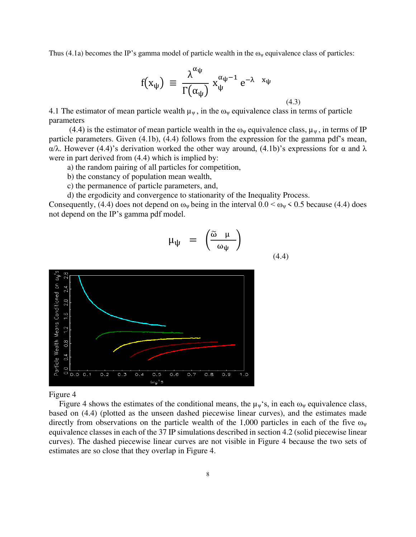Thus (4.1a) becomes the IP's gamma model of particle wealth in the  $\omega_{\psi}$  equivalence class of particles:

$$
f(x_{\psi}) \equiv \frac{\lambda^{\alpha_{\psi}}}{\Gamma(\alpha_{\psi})} x_{\psi}^{\alpha_{\psi}-1} e^{-\lambda x_{\psi}}
$$
\n(4.3)

4.1 The estimator of mean particle wealth  $\mu_{\psi}$ , in the  $\omega_{\psi}$  equivalence class in terms of particle parameters

(4.4) is the estimator of mean particle wealth in the  $\omega_{\psi}$  equivalence class,  $\mu_{\psi}$ , in terms of IP particle parameters. Given (4.1b), (4.4) follows from the expression for the gamma pdf's mean, α/λ. However (4.4)'s derivation worked the other way around, (4.1b)'s expressions for α and λ were in part derived from (4.4) which is implied by:

- a) the random pairing of all particles for competition,
- b) the constancy of population mean wealth,
- c) the permanence of particle parameters, and,
- d) the ergodicity and convergence to stationarity of the Inequality Process.

Consequently, (4.4) does not depend on  $\omega_{\psi}$  being in the interval  $0.0 < \omega_{\psi} < 0.5$  because (4.4) does not depend on the IP's gamma pdf model.

$$
\mu_{\psi} = \left( \frac{\tilde{\omega} \mu}{\omega_{\psi}} \right) \tag{4.4}
$$



#### Figure 4

Figure 4 shows the estimates of the conditional means, the  $\mu_w$ 's, in each  $\omega_w$  equivalence class, based on (4.4) (plotted as the unseen dashed piecewise linear curves), and the estimates made directly from observations on the particle wealth of the 1,000 particles in each of the five  $\omega_{\psi}$ equivalence classes in each of the 37 IP simulations described in section 4.2 (solid piecewise linear curves). The dashed piecewise linear curves are not visible in Figure 4 because the two sets of estimates are so close that they overlap in Figure 4.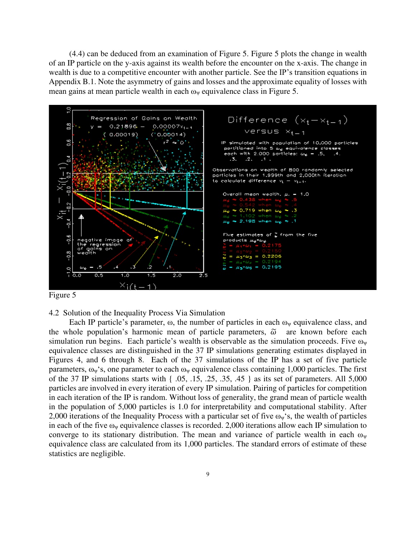(4.4) can be deduced from an examination of Figure 5. Figure 5 plots the change in wealth of an IP particle on the y-axis against its wealth before the encounter on the x-axis. The change in wealth is due to a competitive encounter with another particle. See the IP's transition equations in Appendix B.1. Note the asymmetry of gains and losses and the approximate equality of losses with mean gains at mean particle wealth in each  $\omega_{\psi}$  equivalence class in Figure 5.



Figure 5

4.2 Solution of the Inequality Process Via Simulation

Each IP particle's parameter,  $\omega$ , the number of particles in each  $\omega_{\psi}$  equivalence class, and the whole population's harmonic mean of particle parameters,  $\tilde{\omega}$  are known before each simulation run begins. Each particle's wealth is observable as the simulation proceeds. Five  $\omega_{\psi}$ equivalence classes are distinguished in the 37 IP simulations generating estimates displayed in Figures 4, and 6 through 8. Each of the 37 simulations of the IP has a set of five particle parameters,  $\omega_{\nu}$ 's, one parameter to each  $\omega_{\nu}$  equivalence class containing 1,000 particles. The first of the 37 IP simulations starts with { .05, .15, .25, .35, .45 } as its set of parameters. All 5,000 particles are involved in every iteration of every IP simulation. Pairing of particles for competition in each iteration of the IP is random. Without loss of generality, the grand mean of particle wealth in the population of 5,000 particles is 1.0 for interpretability and computational stability. After 2,000 iterations of the Inequality Process with a particular set of five  $\omega_{\psi}$ 's, the wealth of particles in each of the five  $\omega_{\nu}$  equivalence classes is recorded. 2,000 iterations allow each IP simulation to converge to its stationary distribution. The mean and variance of particle wealth in each  $\omega_{\psi}$ equivalence class are calculated from its 1,000 particles. The standard errors of estimate of these statistics are negligible.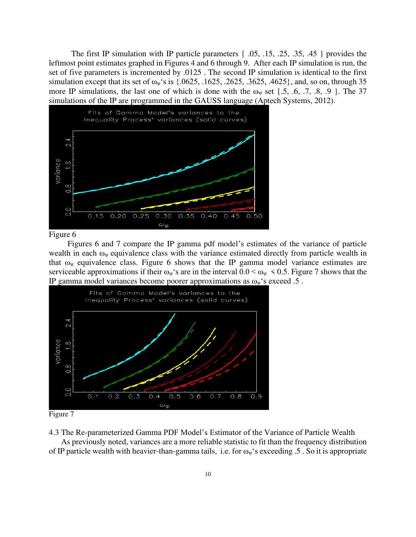The first IP simulation with IP particle parameters { .05, .15, .25, .35, .45 } provides the leftmost point estimates graphed in Figures 4 and 6 through 9. After each IP simulation is run, the set of five parameters is incremented by .0125 . The second IP simulation is identical to the first simulation except that its set of  $\omega_y$ 's is {.0625, .1625, .2625, .3625, .4625}, and, so on, through 35 more IP simulations, the last one of which is done with the  $\omega_{\psi}$  set {.5, .6, .7, .8, .9 }. The 37 simulations of the IP are programmed in the GAUSS language (Aptech Systems, 2012).



#### Figure 6

 Figures 6 and 7 compare the IP gamma pdf model's estimates of the variance of particle wealth in each  $\omega_{\psi}$  equivalence class with the variance estimated directly from particle wealth in that  $\omega_{\nu}$  equivalence class. Figure 6 shows that the IP gamma model variance estimates are serviceable approximations if their  $\omega_{\psi}$ 's are in the interval  $0.0 < \omega_{\psi} < 0.5$ . Figure 7 shows that the IP gamma model variances become poorer approximations as  $\omega_{\psi}$ 's exceed .5.



4.3 The Re-parameterized Gamma PDF Model's Estimator of the Variance of Particle Wealth

 As previously noted, variances are a more reliable statistic to fit than the frequency distribution of IP particle wealth with heavier-than-gamma tails, i.e. for  $\omega_{\nu}$ 's exceeding .5 . So it is appropriate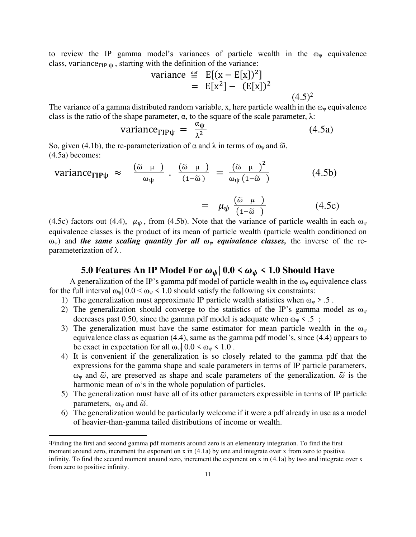to review the IP gamma model's variances of particle wealth in the  $\omega_{\psi}$  equivalence class, variance $F_{\text{IP ul}}$ , starting with the definition of the variance:

variance 
$$
\stackrel{\text{def}}{=} E[(x - E[x])^2]
$$
  
=  $E[x^2] - (E[x])^2$  (4.5)<sup>2</sup>

The variance of a gamma distributed random variable, x, here particle wealth in the  $\omega_{\psi}$  equivalence class is the ratio of the shape parameter,  $\alpha$ , to the square of the scale parameter,  $\lambda$ :

$$
variance_{\text{TIP}\psi} = \frac{\alpha_{\psi}}{\lambda^2} \tag{4.5a}
$$

So, given (4.1b), the re-parameterization of  $\alpha$  and  $\lambda$  in terms of  $\omega_{\psi}$  and  $\tilde{\omega}$ , (4.5a) becomes:

variance<sub>TIP<sup>ψ</sup></sub> 
$$
\approx
$$
  $\frac{(\tilde{\omega} \mu)}{\omega_{\psi}}$   $\frac{(\tilde{\omega} \mu)}{(1-\tilde{\omega})} = \frac{(\tilde{\omega} \mu)^2}{\omega_{\psi}(1-\tilde{\omega})}$  (4.5b)

$$
= \mu_{\psi} \frac{(\tilde{\omega} \mu)}{(1 - \tilde{\omega})} \tag{4.5c}
$$

 $(4.5)^2$ 

(4.5c) factors out (4.4),  $\mu_{\psi}$ , from (4.5b). Note that the variance of particle wealth in each  $\omega_{\psi}$ equivalence classes is the product of its mean of particle wealth (particle wealth conditioned on ωψ) and *the same scaling quantity for all ωψ equivalence classes,* the inverse of the reparameterization of  $\lambda$ .

## **5.0 Features An IP Model For**  $\omega_{\psi}$  **| 0.0 <**  $\omega_{\psi}$  **< 1.0 Should Have**

A generalization of the IP's gamma pdf model of particle wealth in the  $\omega_{\psi}$  equivalence class for the full interval  $\omega_{\psi}$  |  $0.0 < \omega_{\psi}$  < 1.0 should satisfy the following six constraints:

- 1) The generalization must approximate IP particle wealth statistics when  $\omega_{\psi} > .5$ .
- 2) The generalization should converge to the statistics of the IP's gamma model as  $\omega_{\psi}$ decreases past 0.50, since the gamma pdf model is adequate when  $\omega_{\psi}$  < .5;
- 3) The generalization must have the same estimator for mean particle wealth in the  $\omega_{\psi}$ equivalence class as equation (4.4), same as the gamma pdf model's, since (4.4) appears to be exact in expectation for all  $\omega_y$  0.0 <  $\omega_y$  < 1.0.
- 4) It is convenient if the generalization is so closely related to the gamma pdf that the expressions for the gamma shape and scale parameters in terms of IP particle parameters, ω<sub>ν</sub> and  $\tilde{\omega}$ , are preserved as shape and scale parameters of the generalization.  $\tilde{\omega}$  is the harmonic mean of ω's in the whole population of particles.
- 5) The generalization must have all of its other parameters expressible in terms of IP particle parameters,  $\omega_{\nu}$  and  $\tilde{\omega}$ .
- 6) The generalization would be particularly welcome if it were a pdf already in use as a model of heavier-than-gamma tailed distributions of income or wealth.

<sup>2</sup>Finding the first and second gamma pdf moments around zero is an elementary integration. To find the first moment around zero, increment the exponent on x in  $(4.1a)$  by one and integrate over x from zero to positive infinity. To find the second moment around zero, increment the exponent on x in (4.1a) by two and integrate over x from zero to positive infinity.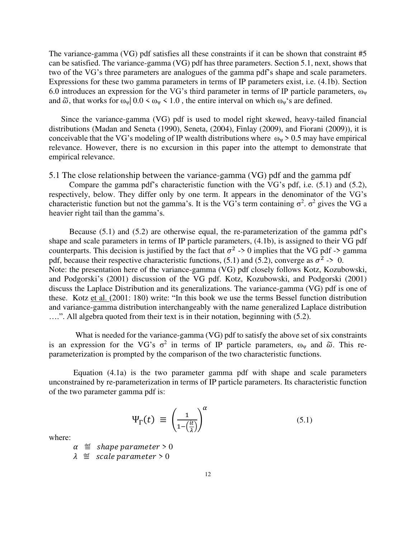The variance-gamma (VG) pdf satisfies all these constraints if it can be shown that constraint #5 can be satisfied. The variance-gamma (VG) pdf has three parameters. Section 5.1, next, shows that two of the VG's three parameters are analogues of the gamma pdf's shape and scale parameters. Expressions for these two gamma parameters in terms of IP parameters exist, i.e. (4.1b). Section 6.0 introduces an expression for the VG's third parameter in terms of IP particle parameters,  $\omega_{\psi}$ and  $\tilde{\omega}$ , that works for  $\omega_{\psi}$  | 0.0 <  $\omega_{\psi}$  < 1.0, the entire interval on which  $\omega_{\psi}$ 's are defined.

 Since the variance-gamma (VG) pdf is used to model right skewed, heavy-tailed financial distributions (Madan and Seneta (1990), Seneta, (2004), Finlay (2009), and Fiorani (2009)), it is conceivable that the VG's modeling of IP wealth distributions where  $\omega_{\psi} > 0.5$  may have empirical relevance. However, there is no excursion in this paper into the attempt to demonstrate that empirical relevance.

5.1 The close relationship between the variance-gamma (VG) pdf and the gamma pdf

 Compare the gamma pdf's characteristic function with the VG's pdf, i.e. (5.1) and (5.2), respectively, below. They differ only by one term. It appears in the denominator of the VG's characteristic function but not the gamma's. It is the VG's term containing  $\sigma^2$ .  $\sigma^2$  gives the VG a heavier right tail than the gamma's.

 Because (5.1) and (5.2) are otherwise equal, the re-parameterization of the gamma pdf's shape and scale parameters in terms of IP particle parameters, (4.1b), is assigned to their VG pdf counterparts. This decision is justified by the fact that  $\sigma^2 \rightarrow 0$  implies that the VG pdf -> gamma pdf, because their respective characteristic functions, (5.1) and (5.2), converge as  $\sigma^2 \rightarrow 0$ . Note: the presentation here of the variance-gamma (VG) pdf closely follows Kotz, Kozubowski, and Podgorski's (2001) discussion of the VG pdf. Kotz, Kozubowski, and Podgorski (2001) discuss the Laplace Distribution and its generalizations. The variance-gamma (VG) pdf is one of these. Kotz et al. (2001: 180) write: "In this book we use the terms Bessel function distribution and variance-gamma distribution interchangeably with the name generalized Laplace distribution ….". All algebra quoted from their text is in their notation, beginning with (5.2).

 What is needed for the variance-gamma (VG) pdf to satisfy the above set of six constraints is an expression for the VG's  $\sigma^2$  in terms of IP particle parameters,  $\omega_{\psi}$  and  $\tilde{\omega}$ . This reparameterization is prompted by the comparison of the two characteristic functions.

Equation (4.1a) is the two parameter gamma pdf with shape and scale parameters unconstrained by re-parameterization in terms of IP particle parameters. Its characteristic function of the two parameter gamma pdf is:

$$
\Psi_{\Gamma}(t) \equiv \left(\frac{1}{1 - \left(\frac{it}{\lambda}\right)}\right)^{\alpha} \tag{5.1}
$$

where:

$$
\alpha \equiv
$$
 shape parameter > 0

 $\lambda \equiv scale parameter > 0$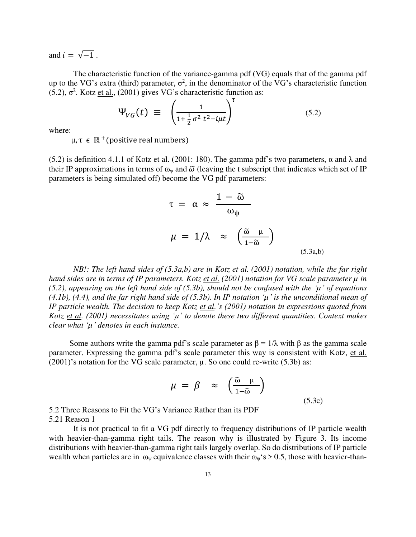and  $i = \sqrt{-1}$ .

 The characteristic function of the variance-gamma pdf (VG) equals that of the gamma pdf up to the VG's extra (third) parameter,  $\sigma^2$ , in the denominator of the VG's characteristic function (5.2),  $\sigma^2$ . Kotz <u>et al.</u>, (2001) gives VG's characteristic function as:

$$
\Psi_{VG}(t) \equiv \left(\frac{1}{1 + \frac{1}{2}\sigma^2 t^2 - i\mu t}\right)^{\tau}
$$
\n(5.2)

where:

 $\mu, \tau \in \mathbb{R}^+$ (positive real numbers)

(5.2) is definition 4.1.1 of Kotz et al. (2001: 180). The gamma pdf's two parameters,  $\alpha$  and  $\lambda$  and their IP approximations in terms of  $\omega_{\nu}$  and  $\tilde{\omega}$  (leaving the t subscript that indicates which set of IP parameters is being simulated off) become the VG pdf parameters:

$$
\tau = \alpha \approx \frac{1 - \tilde{\omega}}{\omega_{\psi}}
$$
  

$$
\mu = 1/\lambda \approx \left(\frac{\tilde{\omega} \mu}{1 - \tilde{\omega}}\right)
$$
 (5.3a,b)

 *NB!: The left hand sides of (5.3a,b) are in Kotz et al. (2001) notation, while the far right hand sides are in terms of IP parameters. Kotz et al. (2001) notation for VG scale parameter µ in (5.2), appearing on the left hand side of (5.3b), should not be confused with the '* $\mu$ *' of equations* (4.1b), (4.4), and the far right hand side of (5.3b). In IP notation  $\mu$  *is the unconditional mean of IP particle wealth. The decision to keep Kotz et al.'s (2001) notation in expressions quoted from Kotz et al. (2001) necessitates using 'µ' to denote these two different quantities. Context makes clear what 'µ' denotes in each instance.* 

Some authors write the gamma pdf's scale parameter as  $β = 1/λ$  with  $β$  as the gamma scale parameter. Expressing the gamma pdf's scale parameter this way is consistent with Kotz, et al.  $(2001)$ 's notation for the VG scale parameter,  $\mu$ . So one could re-write (5.3b) as:

$$
\mu = \beta \approx \left(\frac{\tilde{\omega} \mu}{1 - \tilde{\omega}}\right) \tag{5.3c}
$$

5.2 Three Reasons to Fit the VG's Variance Rather than its PDF 5.21 Reason 1

 It is not practical to fit a VG pdf directly to frequency distributions of IP particle wealth with heavier-than-gamma right tails. The reason why is illustrated by Figure 3. Its income distributions with heavier-than-gamma right tails largely overlap. So do distributions of IP particle wealth when particles are in  $\omega_y$  equivalence classes with their  $\omega_y$ 's > 0.5, those with heavier-than-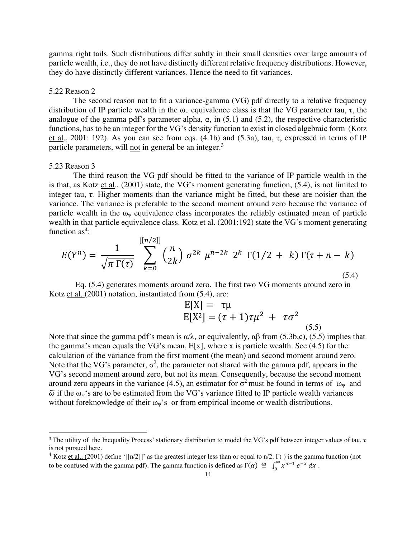gamma right tails. Such distributions differ subtly in their small densities over large amounts of particle wealth, i.e., they do not have distinctly different relative frequency distributions. However, they do have distinctly different variances. Hence the need to fit variances.

#### 5.22 Reason 2

The second reason not to fit a variance-gamma (VG) pdf directly to a relative frequency distribution of IP particle wealth in the  $\omega_{\nu}$  equivalence class is that the VG parameter tau,  $\tau$ , the analogue of the gamma pdf's parameter alpha,  $\alpha$ , in (5.1) and (5.2), the respective characteristic functions, has to be an integer for the VG's density function to exist in closed algebraic form (Kotz et al., 2001: 192). As you can see from eqs.  $(4.1b)$  and  $(5.3a)$ , tau, τ, expressed in terms of IP particle parameters, will not in general be an integer.<sup>3</sup>

#### 5.23 Reason 3

The third reason the VG pdf should be fitted to the variance of IP particle wealth in the is that, as Kotz et al., (2001) state, the VG's moment generating function, (5.4), is not limited to integer tau,  $\tau$ . Higher moments than the variance might be fitted, but these are noisier than the variance. The variance is preferable to the second moment around zero because the variance of particle wealth in the  $\omega_{\nu}$  equivalence class incorporates the reliably estimated mean of particle wealth in that particle equivalence class. Kotz et al. (2001:192) state the VG's moment generating function as<sup>4</sup>:

$$
E(Y^{n}) = \frac{1}{\sqrt{\pi \Gamma(\tau)}} \sum_{k=0}^{\lfloor \lfloor n/2 \rfloor \rfloor} {n \choose 2k} \sigma^{2k} \mu^{n-2k} 2^{k} \Gamma(1/2 + k) \Gamma(\tau + n - k)
$$
\n(5.4)

 Eq. (5.4) generates moments around zero. The first two VG moments around zero in Kotz et al. (2001) notation, instantiated from (5.4), are:

$$
E[X] = \tau \mu
$$
  
\n
$$
E[X^2] = (\tau + 1)\tau \mu^2 + \tau \sigma^2
$$
\n(5.5)

Note that since the gamma pdf's mean is α/λ, or equivalently, αβ from (5.3b,c), (5.5) implies that the gamma's mean equals the VG's mean,  $E[x]$ , where x is particle wealth. See (4.5) for the calculation of the variance from the first moment (the mean) and second moment around zero. Note that the VG's parameter,  $\sigma^2$ , the parameter not shared with the gamma pdf, appears in the VG's second moment around zero, but not its mean. Consequently, because the second moment around zero appears in the variance (4.5), an estimator for  $\sigma^2$  must be found in terms of ω<sub>ψ</sub> and  $\tilde{\omega}$  if the  $\omega_w$ 's are to be estimated from the VG's variance fitted to IP particle wealth variances without foreknowledge of their  $\omega_{\psi}$ 's or from empirical income or wealth distributions.

<sup>&</sup>lt;sup>3</sup> The utility of the Inequality Process' stationary distribution to model the VG's pdf between integer values of tau,  $\tau$ is not pursued here.

<sup>&</sup>lt;sup>4</sup> Kotz et al., (2001) define '[[n/2]]' as the greatest integer less than or equal to n/2. Γ() is the gamma function (not to be confused with the gamma pdf). The gamma function is defined as  $\Gamma(\alpha) \equiv \int_0^{\infty} x^{\alpha-1} e^{-x} dx$ .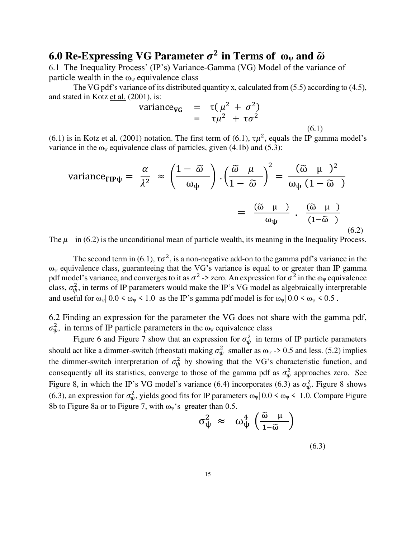## **6.0 Re-Expressing VG Parameter**  $\sigma^2$  **in Terms of**  $\omega_\psi$  **and**  $\widetilde{\omega}$

6.1 The Inequality Process' (IP's) Variance-Gamma (VG) Model of the variance of particle wealth in the  $\omega_{\nu}$  equivalence class

The VG pdf's variance of its distributed quantity x, calculated from (5.5) according to (4.5), and stated in Kotz et al. (2001), is:

variance<sub>VG</sub> = 
$$
\tau(\mu^2 + \sigma^2)
$$
  
=  $\tau\mu^2 + \tau\sigma^2$  (6.1)

(6.1) is in Kotz <u>et al.</u> (2001) notation. The first term of (6.1),  $\tau \mu^2$ , equals the IP gamma model's variance in the  $\omega_{\psi}$  equivalence class of particles, given (4.1b) and (5.3):

variance<sub>TIP<sup>µ</sup></sub> = 
$$
\frac{\alpha}{\lambda^2}
$$
  $\approx$   $\left(\frac{1-\tilde{\omega}}{\omega_{\psi}}\right) \cdot \left(\frac{\tilde{\omega} \mu}{1-\tilde{\omega}}\right)^2 = \frac{(\tilde{\omega} \mu)^2}{\omega_{\psi}(1-\tilde{\omega})}$   
 =  $\frac{(\tilde{\omega} \mu)}{\omega_{\psi}}$   $\frac{(\tilde{\omega} \mu)}{(1-\tilde{\omega})}$  (6.2)

The  $\mu$  in (6.2) is the unconditional mean of particle wealth, its meaning in the Inequality Process.

The second term in (6.1),  $\tau \sigma^2$ , is a non-negative add-on to the gamma pdf's variance in the  $ω<sub>ψ</sub>$  equivalence class, guaranteeing that the VG's variance is equal to or greater than IP gamma pdf model's variance, and converges to it as  $\sigma^2 \to$  zero. An expression for  $\sigma^2$  in the  $\omega_\psi$  equivalence class,  $\sigma_{\psi}^2$ , in terms of IP parameters would make the IP's VG model as algebraically interpretable and useful for  $\omega_y | 0.0 \le \omega_y \le 1.0$  as the IP's gamma pdf model is for  $\omega_y | 0.0 \le \omega_y \le 0.5$ .

6.2 Finding an expression for the parameter the VG does not share with the gamma pdf,  $\sigma_{\psi}^2$ , in terms of IP particle parameters in the  $\omega_{\psi}$  equivalence class

Figure 6 and Figure 7 show that an expression for  $\sigma_{\psi}^2$  in terms of IP particle parameters should act like a dimmer-switch (rheostat) making  $\sigma_{\psi}^2$  smaller as  $\omega_{\psi}$  -> 0.5 and less. (5.2) implies the dimmer-switch interpretation of  $\sigma_{\psi}^2$  by showing that the VG's characteristic function, and consequently all its statistics, converge to those of the gamma pdf as  $\sigma_{\psi}^2$  approaches zero. See Figure 8, in which the IP's VG model's variance (6.4) incorporates (6.3) as  $\sigma_{\psi}^2$ . Figure 8 shows (6.3), an expression for  $\sigma_{\psi}^2$ , yields good fits for IP parameters  $\omega_{\psi}$  | 0.0 <  $\omega_{\psi}$  < 1.0. Compare Figure 8b to Figure 8a or to Figure 7, with  $\omega_{\psi}$ 's greater than 0.5.

$$
\sigma_{\psi}^2 \approx \omega_{\psi}^4 \left( \frac{\tilde{\omega} \mu}{1 - \tilde{\omega}} \right)
$$

(6.3)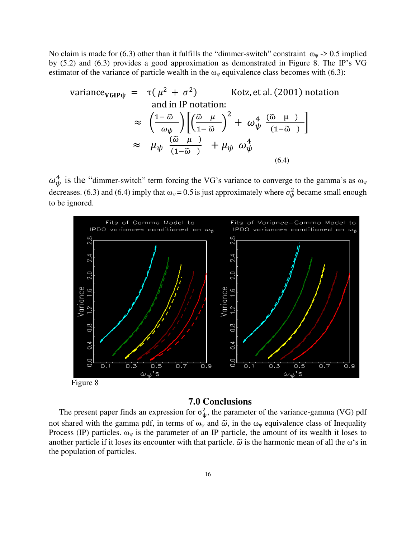No claim is made for (6.3) other than it fulfills the "dimmer-switch" constraint  $\omega_{\psi}$  -> 0.5 implied by (5.2) and (6.3) provides a good approximation as demonstrated in Figure 8. The IP's VG estimator of the variance of particle wealth in the  $\omega_{\psi}$  equivalence class becomes with (6.3):

variance<sub>VGIP</sub>
$$
\psi
$$
 =  $\tau(\mu^2 + \sigma^2)$  Kotz, et al. (2001) notation  
and in IP notation:  

$$
\approx \left(\frac{1-\tilde{\omega}}{\omega_{\psi}}\right) \left[\left(\frac{\tilde{\omega}}{1-\tilde{\omega}}\right)^2 + \omega_{\psi}^4 \frac{(\tilde{\omega} \mu)}{(1-\tilde{\omega})}\right]
$$

$$
\approx \mu_{\psi} \frac{(\tilde{\omega} \mu)}{(1-\tilde{\omega})} + \mu_{\psi} \omega_{\psi}^4
$$
(6.4)

 $\omega_{\psi}^{4}$  is the "dimmer-switch" term forcing the VG's variance to converge to the gamma's as  $\omega_{\psi}$ decreases. (6.3) and (6.4) imply that  $\omega_{\psi} = 0.5$  is just approximately where  $\sigma_{\psi}^2$  became small enough to be ignored.



Figure 8

## **7.0 Conclusions**

The present paper finds an expression for  $\sigma_{\psi}^2$ , the parameter of the variance-gamma (VG) pdf not shared with the gamma pdf, in terms of  $\omega_{\psi}$  and  $\tilde{\omega}$ , in the  $\omega_{\psi}$  equivalence class of Inequality Process (IP) particles.  $\omega_{\psi}$  is the parameter of an IP particle, the amount of its wealth it loses to another particle if it loses its encounter with that particle.  $\tilde{\omega}$  is the harmonic mean of all the  $\omega$ 's in the population of particles.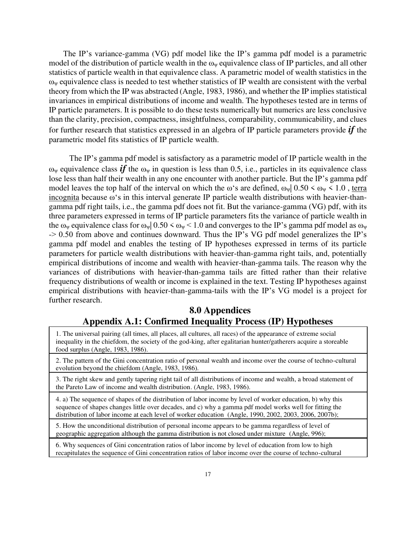The IP's variance-gamma (VG) pdf model like the IP's gamma pdf model is a parametric model of the distribution of particle wealth in the  $\omega_{\psi}$  equivalence class of IP particles, and all other statistics of particle wealth in that equivalence class. A parametric model of wealth statistics in the  $\omega_{\psi}$  equivalence class is needed to test whether statistics of IP wealth are consistent with the verbal theory from which the IP was abstracted (Angle, 1983, 1986), and whether the IP implies statistical invariances in empirical distributions of income and wealth. The hypotheses tested are in terms of IP particle parameters. It is possible to do these tests numerically but numerics are less conclusive than the clarity, precision, compactness, insightfulness, comparability, communicability, and clues for further research that statistics expressed in an algebra of IP particle parameters provide *if* the parametric model fits statistics of IP particle wealth.

 The IP's gamma pdf model is satisfactory as a parametric model of IP particle wealth in the  $\omega_{\nu}$  equivalence class *if* the  $\omega_{\nu}$  in question is less than 0.5, i.e., particles in its equivalence class lose less than half their wealth in any one encounter with another particle. But the IP's gamma pdf model leaves the top half of the interval on which the  $\omega$ 's are defined,  $\omega_{\psi}$ | 0.50 <  $\omega_{\psi}$  < 1.0, terra incognita because ω's in this interval generate IP particle wealth distributions with heavier-thangamma pdf right tails, i.e., the gamma pdf does not fit. But the variance-gamma (VG) pdf, with its three parameters expressed in terms of IP particle parameters fits the variance of particle wealth in the  $\omega_{\psi}$  equivalence class for  $\omega_{\psi}$  0.50  $\leq \omega_{\psi}$  < 1.0 and converges to the IP's gamma pdf model as  $\omega_{\psi}$  $\sim 0.50$  from above and continues downward. Thus the IP's VG pdf model generalizes the IP's gamma pdf model and enables the testing of IP hypotheses expressed in terms of its particle parameters for particle wealth distributions with heavier-than-gamma right tails, and, potentially empirical distributions of income and wealth with heavier-than-gamma tails. The reason why the variances of distributions with heavier-than-gamma tails are fitted rather than their relative frequency distributions of wealth or income is explained in the text. Testing IP hypotheses against empirical distributions with heavier-than-gamma-tails with the IP's VG model is a project for further research.

## **8.0 Appendices Appendix A.1: Confirmed Inequality Process (IP) Hypotheses**

1. The universal pairing (all times, all places, all cultures, all races) of the appearance of extreme social inequality in the chiefdom, the society of the god-king, after egalitarian hunter/gatherers acquire a storeable food surplus (Angle, 1983, 1986).

2. The pattern of the Gini concentration ratio of personal wealth and income over the course of techno-cultural evolution beyond the chiefdom (Angle, 1983, 1986).

3. The right skew and gently tapering right tail of all distributions of income and wealth, a broad statement of the Pareto Law of income and wealth distribution. (Angle, 1983, 1986).

4. a) The sequence of shapes of the distribution of labor income by level of worker education, b) why this sequence of shapes changes little over decades, and c) why a gamma pdf model works well for fitting the distribution of labor income at each level of worker education (Angle, 1990, 2002, 2003, 2006, 2007b);

5. How the unconditional distribution of personal income appears to be gamma regardless of level of geographic aggregation although the gamma distribution is not closed under mixture (Angle, 996);

6. Why sequences of Gini concentration ratios of labor income by level of education from low to high recapitulates the sequence of Gini concentration ratios of labor income over the course of techno-cultural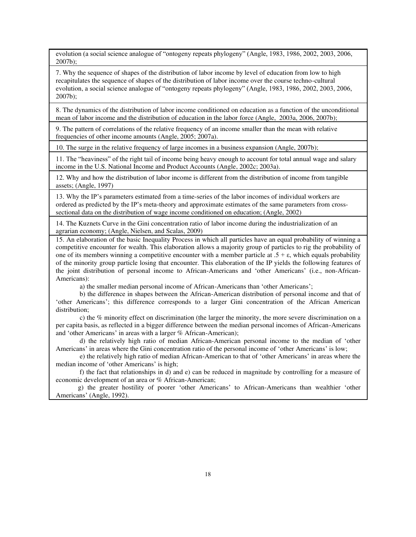evolution (a social science analogue of "ontogeny repeats phylogeny" (Angle, 1983, 1986, 2002, 2003, 2006, 2007b);

7. Why the sequence of shapes of the distribution of labor income by level of education from low to high recapitulates the sequence of shapes of the distribution of labor income over the course techno-cultural evolution, a social science analogue of "ontogeny repeats phylogeny" (Angle, 1983, 1986, 2002, 2003, 2006, 2007b);

8. The dynamics of the distribution of labor income conditioned on education as a function of the unconditional mean of labor income and the distribution of education in the labor force (Angle, 2003a, 2006, 2007b);

9. The pattern of correlations of the relative frequency of an income smaller than the mean with relative frequencies of other income amounts (Angle, 2005; 2007a).

10. The surge in the relative frequency of large incomes in a business expansion (Angle, 2007b);

11. The "heaviness" of the right tail of income being heavy enough to account for total annual wage and salary income in the U.S. National Income and Product Accounts (Angle, 2002c; 2003a).

12. Why and how the distribution of labor income is different from the distribution of income from tangible assets; (Angle, 1997)

13. Why the IP's parameters estimated from a time-series of the labor incomes of individual workers are ordered as predicted by the IP's meta-theory and approximate estimates of the same parameters from crosssectional data on the distribution of wage income conditioned on education; (Angle, 2002)

14. The Kuznets Curve in the Gini concentration ratio of labor income during the industrialization of an agrarian economy; (Angle, Nielsen, and Scalas, 2009)

15. An elaboration of the basic Inequality Process in which all particles have an equal probability of winning a competitive encounter for wealth. This elaboration allows a majority group of particles to rig the probability of one of its members winning a competitive encounter with a member particle at  $.5 + \varepsilon$ , which equals probability of the minority group particle losing that encounter. This elaboration of the IP yields the following features of the joint distribution of personal income to African-Americans and 'other Americans' (i.e., non-African-Americans):

a) the smaller median personal income of African-Americans than 'other Americans';

 b) the difference in shapes between the African-American distribution of personal income and that of 'other Americans'; this difference corresponds to a larger Gini concentration of the African American distribution;

 c) the % minority effect on discrimination (the larger the minority, the more severe discrimination on a per capita basis, as reflected in a bigger difference between the median personal incomes of African-Americans and 'other Americans' in areas with a larger % African-American);

 d) the relatively high ratio of median African-American personal income to the median of 'other Americans' in areas where the Gini concentration ratio of the personal income of 'other Americans' is low;

 e) the relatively high ratio of median African-American to that of 'other Americans' in areas where the median income of 'other Americans' is high;

 f) the fact that relationships in d) and e) can be reduced in magnitude by controlling for a measure of economic development of an area or % African-American;

 g) the greater hostility of poorer 'other Americans' to African-Americans than wealthier 'other Americans' (Angle, 1992).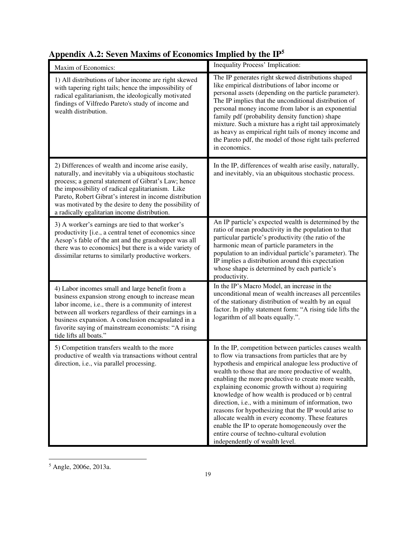| Maxim of Economics:                                                                                                                                                                                                                                                                                                                                                                         | Inequality Process' Implication:                                                                                                                                                                                                                                                                                                                                                                                                                                                                                                                                                                                                                                                                  |
|---------------------------------------------------------------------------------------------------------------------------------------------------------------------------------------------------------------------------------------------------------------------------------------------------------------------------------------------------------------------------------------------|---------------------------------------------------------------------------------------------------------------------------------------------------------------------------------------------------------------------------------------------------------------------------------------------------------------------------------------------------------------------------------------------------------------------------------------------------------------------------------------------------------------------------------------------------------------------------------------------------------------------------------------------------------------------------------------------------|
| 1) All distributions of labor income are right skewed<br>with tapering right tails; hence the impossibility of<br>radical egalitarianism, the ideologically motivated<br>findings of Vilfredo Pareto's study of income and<br>wealth distribution.                                                                                                                                          | The IP generates right skewed distributions shaped<br>like empirical distributions of labor income or<br>personal assets (depending on the particle parameter).<br>The IP implies that the unconditional distribution of<br>personal money income from labor is an exponential<br>family pdf (probability density function) shape<br>mixture. Such a mixture has a right tail approximately<br>as heavy as empirical right tails of money income and<br>the Pareto pdf, the model of those right tails preferred<br>in economics.                                                                                                                                                                 |
| 2) Differences of wealth and income arise easily,<br>naturally, and inevitably via a ubiquitous stochastic<br>process; a general statement of Gibrat's Law; hence<br>the impossibility of radical egalitarianism. Like<br>Pareto, Robert Gibrat's interest in income distribution<br>was motivated by the desire to deny the possibility of<br>a radically egalitarian income distribution. | In the IP, differences of wealth arise easily, naturally,<br>and inevitably, via an ubiquitous stochastic process.                                                                                                                                                                                                                                                                                                                                                                                                                                                                                                                                                                                |
| 3) A worker's earnings are tied to that worker's<br>productivity [i.e., a central tenet of economics since<br>Aesop's fable of the ant and the grasshopper was all<br>there was to economics] but there is a wide variety of<br>dissimilar returns to similarly productive workers.                                                                                                         | An IP particle's expected wealth is determined by the<br>ratio of mean productivity in the population to that<br>particular particle's productivity (the ratio of the<br>harmonic mean of particle parameters in the<br>population to an individual particle's parameter). The<br>IP implies a distribution around this expectation<br>whose shape is determined by each particle's<br>productivity.                                                                                                                                                                                                                                                                                              |
| 4) Labor incomes small and large benefit from a<br>business expansion strong enough to increase mean<br>labor income, i.e., there is a community of interest<br>between all workers regardless of their earnings in a<br>business expansion. A conclusion encapsulated in a<br>favorite saying of mainstream economists: "A rising<br>tide lifts all boats."                                | In the IP's Macro Model, an increase in the<br>unconditional mean of wealth increases all percentiles<br>of the stationary distribution of wealth by an equal<br>factor. In pithy statement form: "A rising tide lifts the<br>logarithm of all boats equally.".                                                                                                                                                                                                                                                                                                                                                                                                                                   |
| 5) Competition transfers wealth to the more<br>productive of wealth via transactions without central<br>direction, i.e., via parallel processing.                                                                                                                                                                                                                                           | In the IP, competition between particles causes wealth<br>to flow via transactions from particles that are by<br>hypothesis and empirical analogue less productive of<br>wealth to those that are more productive of wealth,<br>enabling the more productive to create more wealth,<br>explaining economic growth without a) requiring<br>knowledge of how wealth is produced or b) central<br>direction, i.e., with a minimum of information, two<br>reasons for hypothesizing that the IP would arise to<br>allocate wealth in every economy. These features<br>enable the IP to operate homogeneously over the<br>entire course of techno-cultural evolution<br>independently of wealth level. |

## **Appendix A.2: Seven Maxims of Economics Implied by the IP<sup>5</sup>**

<sup>5</sup> Angle, 2006e, 2013a.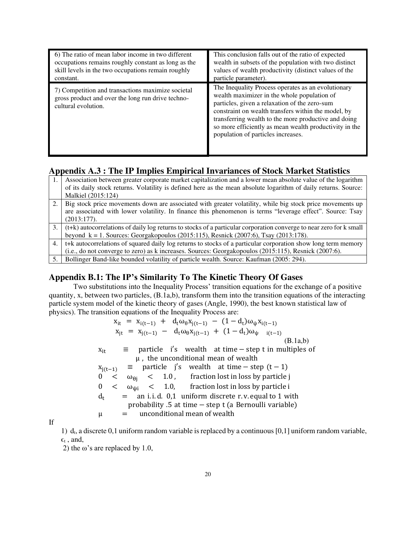| 6) The ratio of mean labor income in two different                                                                            | This conclusion falls out of the ratio of expected                                                                                                                                                                                                                                                                                                                |
|-------------------------------------------------------------------------------------------------------------------------------|-------------------------------------------------------------------------------------------------------------------------------------------------------------------------------------------------------------------------------------------------------------------------------------------------------------------------------------------------------------------|
| occupations remains roughly constant as long as the                                                                           | wealth in subsets of the population with two distinct                                                                                                                                                                                                                                                                                                             |
| skill levels in the two occupations remain roughly                                                                            | values of wealth productivity (distinct values of the                                                                                                                                                                                                                                                                                                             |
| constant.                                                                                                                     | particle parameter).                                                                                                                                                                                                                                                                                                                                              |
| 7) Competition and transactions maximize societal<br>gross product and over the long run drive techno-<br>cultural evolution. | The Inequality Process operates as an evolutionary<br>wealth maximizer in the whole population of<br>particles, given a relaxation of the zero-sum<br>constraint on wealth transfers within the model, by<br>transferring wealth to the more productive and doing<br>so more efficiently as mean wealth productivity in the<br>population of particles increases. |

## **Appendix A.3 : The IP Implies Empirical Invariances of Stock Market Statistics**

| 1.  | Association between greater corporate market capitalization and a lower mean absolute value of the logarithm        |
|-----|---------------------------------------------------------------------------------------------------------------------|
|     | of its daily stock returns. Volatility is defined here as the mean absolute logarithm of daily returns. Source:     |
|     | Malkiel (2015:124)                                                                                                  |
| 2.1 | Big stock price movements down are associated with greater volatility, while big stock price movements up           |
|     | are associated with lower volatility. In finance this phenomenon is terms "leverage effect". Source: Tsay           |
|     | $(2013:177)$ .                                                                                                      |
| 3.  | (t+k) autocorrelations of daily log returns to stocks of a particular corporation converge to near zero for k small |
|     | beyond $k = 1$ . Sources: Georgakopoulos (2015:115), Resnick (2007:6), Tsay (2013:178).                             |
| 4.  | t+k autocorrelations of squared daily log returns to stocks of a particular corporation show long term memory       |
|     | (i.e., do not converge to zero) as $k$ increases. Sources: Georgakopoulos (2015:115), Resnick (2007:6).             |
| 5.  | Bollinger Band-like bounded volatility of particle wealth. Source: Kaufman (2005: 294).                             |

### **Appendix B.1: The IP's Similarity To The Kinetic Theory Of Gases**

Two substitutions into the Inequality Process' transition equations for the exchange of a positive quantity, x, between two particles,  $(B.1a,b)$ , transform them into the transition equations of the interacting particle system model of the kinetic theory of gases (Angle, 1990), the best known statistical law of physics). The transition equations of the Inequality Process are:

 $x_{it} = x_{i(t-1)} + d_t \omega_\theta x_{j(t-1)} - (1 - d_t) \omega_\psi x_{i(t-1)}$  $x_{jt} = x_{j(t-1)} - d_t \omega_{\theta} x_{j(t-1)} + (1 - d_t) \omega_{\psi}$   $_{i(t-1)}$ (B.1a,b)  $x_{it}$   $\equiv$  particle i's wealth at time – step t in multiples of  $\mu$ , the unconditional mean of wealth  $x_{j(t-1)} \equiv$  particle j's wealth at time – step (t − 1)<br>0 <  $\omega_{\theta i}$  < 1.0, fraction lost in loss by particle  $0 < \omega_{\theta j} < 1.0$ , fraction lost in loss by particle j<br> $0 < \omega_{\theta i} < 1.0$ , fraction lost in loss by particle i  $<$   $\omega_{\text{wi}}$   $<$  1.0, fraction lost in loss by particle i  $d_t$  $=$  an i. i. d. 0,1 uniform discrete r. v. equal to 1 with probability .5 at time – step t (a Bernoulli variable)<br> $\mu$  = unconditional mean of wealth unconditional mean of wealth

If

1) d<sub>t</sub>, a discrete 0,1 uniform random variable is replaced by a continuous  $[0,1]$  uniform random variable,  $\epsilon_t$ , and,

2) the  $\omega$ 's are replaced by 1.0,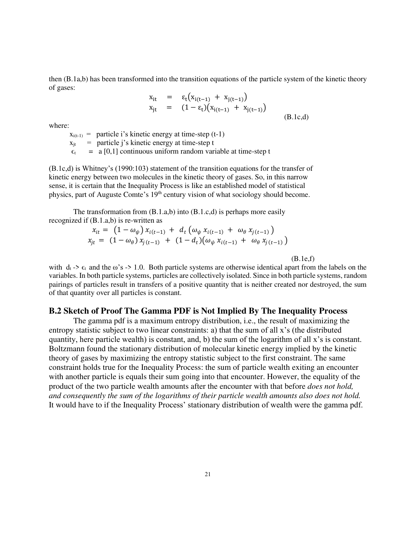then (B.1a,b) has been transformed into the transition equations of the particle system of the kinetic theory of gases:

$$
x_{it} = \varepsilon_t (x_{i(t-1)} + x_{j(t-1)})
$$
  
\n
$$
x_{jt} = (1 - \varepsilon_t) (x_{i(t-1)} + x_{j(t-1)})
$$
  
\n(B.lc,d)

where:

 $x_{i(t-1)}$  = particle i's kinetic energy at time-step (t-1)  $x_{it}$  = particle j's kinetic energy at time-step t  $\epsilon_t$  = a [0,1] continuous uniform random variable at time-step t

(B.1c,d) is Whitney's (1990:103) statement of the transition equations for the transfer of kinetic energy between two molecules in the kinetic theory of gases. So, in this narrow sense, it is certain that the Inequality Process is like an established model of statistical <sup>p</sup>hysics, part of Auguste Comte's 19th century vision of what sociology should become.

The transformation from  $(B.1.a,b)$  into  $(B.1.c,d)$  is perhaps more easily recognized if (B.1.a,b) is re-written as

$$
x_{it} = (1 - \omega_{\psi}) x_{i(t-1)} + d_t (\omega_{\psi} x_{i(t-1)} + \omega_{\theta} x_{j(t-1)})
$$
  
\n
$$
x_{jt} = (1 - \omega_{\theta}) x_{j(t-1)} + (1 - d_t) (\omega_{\psi} x_{i(t-1)} + \omega_{\theta} x_{j(t-1)})
$$

 $(B.1e,f)$ 

with  $d_t$  ->  $\epsilon_t$  and the ω's -> 1.0. Both particle systems are otherwise identical apart from the labels on the variables. In both particle systems, particles are collectively isolated. Since in both particle systems, random pairings of particles result in transfers of a positive quantity that is neither created nor destroyed, the sum of that quantity over all particles is constant.

#### **B.2 Sketch of Proof The Gamma PDF is Not Implied By The Inequality Process**

The gamma pdf is a maximum entropy distribution, i.e., the result of maximizing the entropy statistic subject to two linear constraints: a) that the sum of all x's (the distributed quantity, here particle wealth) is constant, and, b) the sum of the logarithm of all x's is constant. Boltzmann found the stationary distribution of molecular kinetic energy implied by the kinetic theory of gases by maximizing the entropy statistic subject to the first constraint. The same constraint holds true for the Inequality Process: the sum of particle wealth exiting an encounter with another particle is equals their sum going into that encounter. However, the equality of the product of the two particle wealth amounts after the encounter with that before *does not hold, and consequently the sum of the logarithms of their particle wealth amounts also does not hold.*  It would have to if the Inequality Process' stationary distribution of wealth were the gamma pdf.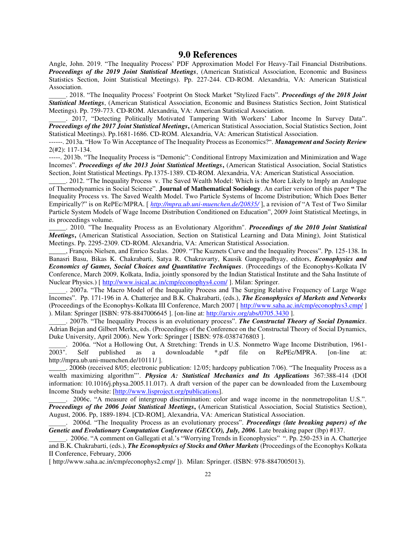#### **9.0 References**

Angle, John. 2019. "The Inequality Process' PDF Approximation Model For Heavy-Tail Financial Distributions. *Proceedings of the 2019 Joint Statistical Meetings*, (American Statistical Association, Economic and Business Statistics Section, Joint Statistical Meetings). Pp. 227-244. CD-ROM. Alexandria, VA: American Statistical Association.

\_\_\_\_\_. 2018. "The Inequality Process' Footprint On Stock Market "Stylized Facts". *Proceedings of the 2018 Joint Statistical Meetings*, (American Statistical Association, Economic and Business Statistics Section, Joint Statistical Meetings). Pp. 759-773. CD-ROM. Alexandria, VA: American Statistical Association.

. 2017, "Detecting Politically Motivated Tampering With Workers' Labor Income In Survey Data". *Proceedings of the 2017 Joint Statistical Meetings***,** (American Statistical Association, Social Statistics Section, Joint Statistical Meetings). Pp.1681-1686. CD-ROM. Alexandria, VA: American Statistical Association.

------. 2013a. "How To Win Acceptance of The Inequality Process as Economics?". *Management and Society Review*  2(#2): 117-134.

-----. 2013b. "The Inequality Process is "Demonic": Conditional Entropy Maximization and Minimization and Wage Incomes". *Proceedings of the 2013 Joint Statistical Meetings*, (American Statistical Association, Social Statistics Section, Joint Statistical Meetings. Pp.1375-1389. CD-ROM. Alexandria, VA: American Statistical Association.

\_\_\_\_\_. 2012. "The Inequality Process v. The Saved Wealth Model: Which is the More Likely to Imply an Analogue of Thermodynamics in Social Science". **Journal of Mathematical Sociology**. An earlier version of this paper **"** The Inequality Process vs. The Saved Wealth Model. Two Particle Systems of Income Distribution; Which Does Better Empirically?" is on RePEc/MPRA. [ *<http://mpra.ub.uni-muenchen.de/20835/>* ], a revision of "A Test of Two Similar Particle System Models of Wage Income Distribution Conditioned on Education", 2009 Joint Statistical Meetings, in its proceedings volume.

\_\_\_\_\_. 2010. "The Inequality Process as an Evolutionary Algorithm". *Proceedings of the 2010 Joint Statistical Meetings*, (American Statistical Association, Section on Statistical Learning and Data Mining), Joint Statistical Meetings. Pp. 2295-2309. CD-ROM. Alexandria, VA: American Statistical Association.

\_\_\_\_\_, François Nielsen, and Enrico Scalas. 2009. "The Kuznets Curve and the Inequality Process". Pp. 125-138. In Banasri Basu, Bikas K. Chakrabarti, Satya R. Chakravarty, Kausik Gangopadhyay, editors, *Econophysics and Economics of Games, Social Choices and Quantitative Techniques*. (Proceedings of the Econophys-Kolkata IV Conference, March 2009, Kolkata, India, jointly sponsored by the Indian Statistical Institute and the Saha Institute of Nuclear Physics.) [<http://www.isical.ac.in/cmp/econophys4.com/>]. Milan: Springer.

\_\_\_\_\_. 2007a. "The Macro Model of the Inequality Process and The Surging Relative Frequency of Large Wage Incomes". Pp. 171-196 in A. Chatterjee and B.K. Chakrabarti, (eds.), *The Econophysics of Markets and Networks*  (Proceedings of the Econophys-Kolkata III Conference, March 2007 [ http://www.saha.ac.in/cmp/econophys3.cmp/ ] ). Milan: Springer [ISBN: 978-8847006645 ]. [on-line at: http://arxiv.org/abs/0705.3430 ].

\_\_\_\_\_. 2007b. "The Inequality Process is an evolutionary process". *The Constructal Theory of Social Dynamics*. Adrian Bejan and Gilbert Merkx, eds. (Proceedings of the Conference on the Constructal Theory of Social Dynamics, Duke University, April 2006). New York: Springer [ ISBN: 978-0387476803 ].

. 2006a. "Not a Hollowing Out, A Stretching: Trends in U.S. Nonmetro Wage Income Distribution, 1961-<br>
2003". Self published as a downloadable \*.pdf file on RePEc/MPRA. [on-line at: 2003". Self published as a downloadable \*.pdf file on RePEc/MPRA. [on-line at: http://mpra.ub.uni-muenchen.de/10111/ ].

\_\_\_\_\_. 2006b (received 8/05; electronic publication: 12/05; hardcopy publication 7/06). "The Inequality Process as a wealth maximizing algorithm"'. *Physica A: Statistical Mechanics and Its Applications* 367:388-414 (DOI information: 10.1016/j.physa.2005.11.017). A draft version of the paper can be downloaded from the Luxembourg Income Study website: [http://www.lisproject.org/publications].

\_\_\_\_\_. 2006c. "A measure of intergroup discrimination: color and wage income in the nonmetropolitan U.S.". *Proceedings of the 2006 Joint Statistical Meetings***, (**American Statistical Association, Social Statistics Section), August, 2006. Pp, 1889-1894. [CD-ROM], Alexandria, VA: American Statistical Association.

\_\_\_\_\_. 2006d. "The Inequality Process as an evolutionary process". *Proceedings (late breaking papers) of the Genetic and Evolutionary Computation Conference (GECCO), July, 2006.* Late breaking paper (lbp) #137.

\_\_\_\_\_. 2006e. "A comment on Gallegati et al.'s "Worrying Trends in Econophysics" ". Pp. 250-253 in A. Chatterjee and B.K. Chakrabarti, (eds.), *The Econophysics of Stocks and Other Markets* (Proceedings of the Econophys Kolkata II Conference, February, 2006

[ http://www.saha.ac.in/cmp/econophys2.cmp/ ]). Milan: Springer. (ISBN: 978-8847005013).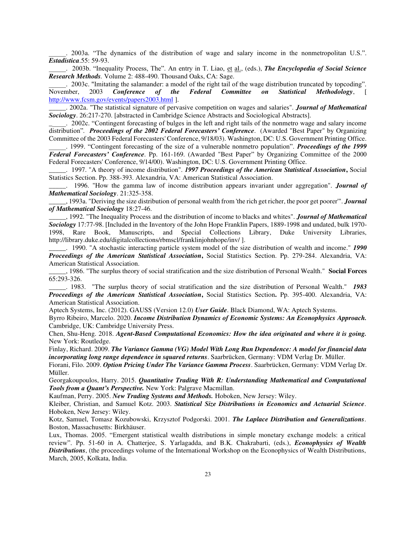\_\_\_\_\_. 2003a. "The dynamics of the distribution of wage and salary income in the nonmetropolitan U.S.". *Estadistica*.55: 59-93.

\_\_\_\_\_. 2003b. "Inequality Process, The". An entry in T. Liao, et al., (eds.), *The Encyclopedia of Social Science Research Methods.* Volume 2: 488-490. Thousand Oaks, CA: Sage.

\_\_\_\_\_. 2003c. "Imitating the salamander: a model of the right tail of the wage distribution truncated by topcoding". November, 2003 *Conference of the Federal Committee on Statistical Methodology*, [ http://www.fcsm.gov/events/papers2003.html ].

\_\_\_\_\_. 2002a. "The statistical signature of pervasive competition on wages and salaries". *Journal of Mathematical Sociology*. 26:217-270. [abstracted in Cambridge Science Abstracts and Sociological Abstracts].

\_\_\_\_\_. 2002c. "Contingent forecasting of bulges in the left and right tails of the nonmetro wage and salary income distribution"*. Proceedings of the 2002 Federal Forecasters' Conference*. (Awarded "Best Paper" by Organizing Committee of the 2003 Federal Forecasters' Conference, 9/18/03). Washington, DC: U.S. Government Printing Office.

\_\_\_\_\_. 1999. "Contingent forecasting of the size of a vulnerable nonmetro population". *Proceedings of the 1999 Federal Forecasters' Conference*. Pp. 161-169. (Awarded "Best Paper" by Organizing Committee of the 2000 Federal Forecasters' Conference, 9/14/00). Washington, DC: U.S. Government Printing Office.

\_\_\_\_\_. 1997. "A theory of income distribution". *1997 Proceedings of the American Statistical Association***,** Social Statistics Section. Pp. 388-393. Alexandria, VA: American Statistical Association.

\_\_\_\_\_. 1996. "How the gamma law of income distribution appears invariant under aggregation". *Journal of Mathematical Sociology*. 21:325-358.

\_\_\_\_\_, 1993a. "Deriving the size distribution of personal wealth from 'the rich get richer, the poor get poorer'". *Journal of Mathematical Sociology* 18:27-46.

\_\_\_\_\_, 1992. "The Inequality Process and the distribution of income to blacks and whites". *Journal of Mathematical Sociology* 17:77-98. [Included in the Inventory of the John Hope Franklin Papers, 1889-1998 and undated, bulk 1970- 1998, Rare Book, Manuscripts, and Special Collections Library, Duke University Libraries, http://library.duke.edu/digitalcollections/rbmscl/franklinjohnhope/inv/ ].

\_\_\_\_\_. 1990. "A stochastic interacting particle system model of the size distribution of wealth and income." *1990 Proceedings of the American Statistical Association***,** Social Statistics Section. Pp. 279-284. Alexandria, VA: American Statistical Association.

\_\_\_\_\_, 1986. "The surplus theory of social stratification and the size distribution of Personal Wealth." **Social Forces** 65:293-326.

\_\_\_\_\_. 1983. "The surplus theory of social stratification and the size distribution of Personal Wealth." *1983 Proceedings of the American Statistical Association***,** Social Statistics Section**.** Pp. 395-400. Alexandria, VA: American Statistical Association.

Aptech Systems, Inc. (2012). GAUSS (Version 12.0) *User Guide*. Black Diamond, WA: Aptech Systems.

Byrro Ribeiro, Marcelo. 2020. *Income Distribution Dynamics of Economic Systems: An Econophysics Approach.*  Cambridge, UK: Cambridge University Press.

Chen, Shu-Heng. 2018. *Agent-Based Computational Economics: How the idea originated and where it is going.*  New York: Routledge.

Finlay, Richard. 2009. *The Variance Gamma (VG) Model With Long Run Dependence: A model for financial data incorporating long range dependence in squared returns*. Saarbrücken, Germany: VDM Verlag Dr. Müller.

Fiorani, Filo. 2009. *Option Pricing Under The Variance Gamma Process*. Saarbrücken, Germany: VDM Verlag Dr. Müller.

Georgakoupoulos, Harry. 2015. *Quantitative Trading With R: Understanding Mathematical and Computational Tools from a Quant's Perspective.* New York: Palgrave Macmillan.

Kaufman, Perry. 2005. *New Trading Systems and Methods.* Hoboken, New Jersey: Wiley.

Kleiber, Christian, and Samuel Kotz. 2003. *Statistical Size Distributions in Economics and Actuarial Science*. Hoboken, New Jersey: Wiley.

Kotz, Samuel, Tomasz Kozubowski, Krzysztof Podgorski. 2001. *The Laplace Distribution and Generalizations*. Boston, Massachusetts: Birkhäuser.

Lux, Thomas. 2005. "Emergent statistical wealth distributions in simple monetary exchange models: a critical review". Pp. 51-60 in A. Chatterjee, S. Yarlagadda, and B.K. Chakrabarti, (eds.), *Econophysics of Wealth Distributions*, (the proceedings volume of the International Workshop on the Econophysics of Wealth Distributions, March, 2005, Kolkata, India.